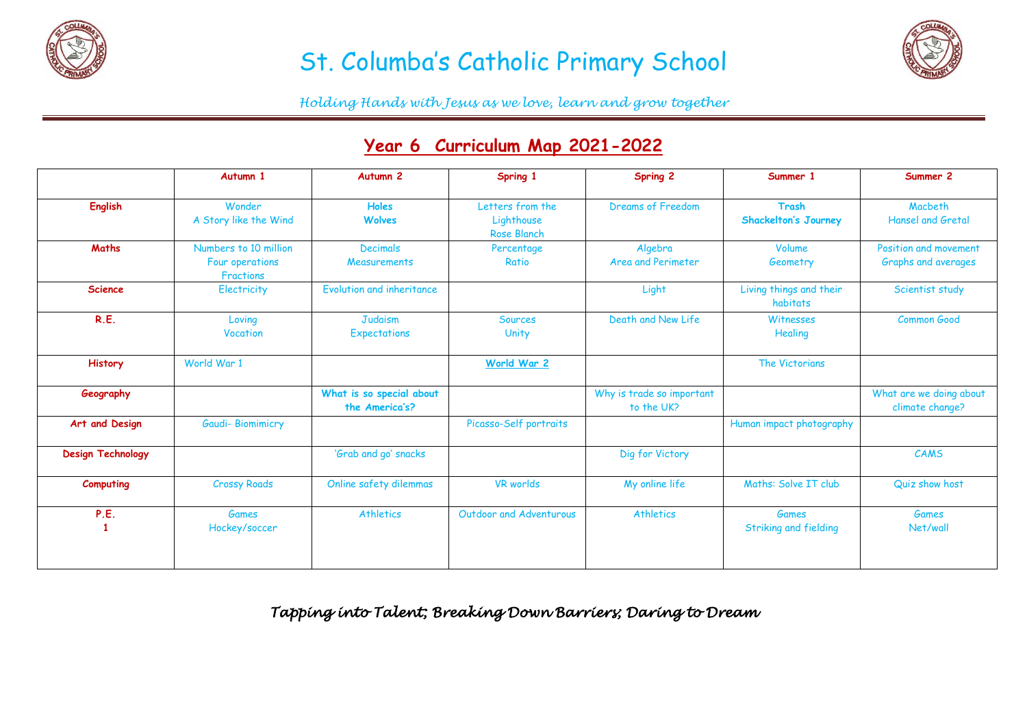

# St. Columba's Catholic Primary School



*Holding Hands with Jesus as we love, learn and grow together*

### **Year 6 Curriculum Map 2021-2022**

|                          | Autumn 1                                                     | Autumn <sub>2</sub>                        | Spring 1                                             | <b>Spring 2</b>                         | Summer 1                                     | Summer 2                                     |
|--------------------------|--------------------------------------------------------------|--------------------------------------------|------------------------------------------------------|-----------------------------------------|----------------------------------------------|----------------------------------------------|
| <b>English</b>           | Wonder<br>A Story like the Wind                              | <b>Holes</b><br><b>Wolves</b>              | Letters from the<br>Lighthouse<br><b>Rose Blanch</b> | Dreams of Freedom                       | <b>Trash</b><br><b>Shackelton's Journey</b>  | Macbeth<br><b>Hansel and Gretal</b>          |
| <b>Maths</b>             | Numbers to 10 million<br>Four operations<br><b>Fractions</b> | <b>Decimals</b><br><b>Measurements</b>     | Percentage<br>Ratio                                  | Algebra<br><b>Area and Perimeter</b>    | Volume<br>Geometry                           | Position and movement<br>Graphs and averages |
| <b>Science</b>           | <b>Electricity</b>                                           | Evolution and inheritance                  |                                                      | Light                                   | Living things and their<br>habitats          | Scientist study                              |
| R.E.                     | Loving<br>Vocation                                           | Judaism<br>Expectations                    | <b>Sources</b><br>Unity                              | Death and New Life                      | Witnesses<br>Healing                         | <b>Common Good</b>                           |
| <b>History</b>           | World War 1                                                  |                                            | World War 2                                          |                                         | The Victorians                               |                                              |
| Geography                |                                                              | What is so special about<br>the America's? |                                                      | Why is trade so important<br>to the UK? |                                              | What are we doing about<br>climate change?   |
| Art and Design           | <b>Gaudi-Biomimicry</b>                                      |                                            | Picasso-Self portraits                               |                                         | Human impact photography                     |                                              |
| <b>Design Technology</b> |                                                              | 'Grab and go' snacks                       |                                                      | Dig for Victory                         |                                              | CAMS                                         |
| <b>Computing</b>         | <b>Crossy Roads</b>                                          | Online safety dilemmas                     | <b>VR</b> worlds                                     | My online life                          | Maths: Solve IT club                         | Quiz show host                               |
| P.E.                     | <b>Games</b><br>Hockey/soccer                                | <b>Athletics</b>                           | Outdoor and Adventurous                              | <b>Athletics</b>                        | <b>Games</b><br><b>Striking and fielding</b> | <b>Games</b><br>Net/wall                     |

*Tapping into Talent; Breaking Down Barriers; Daring to Dream*